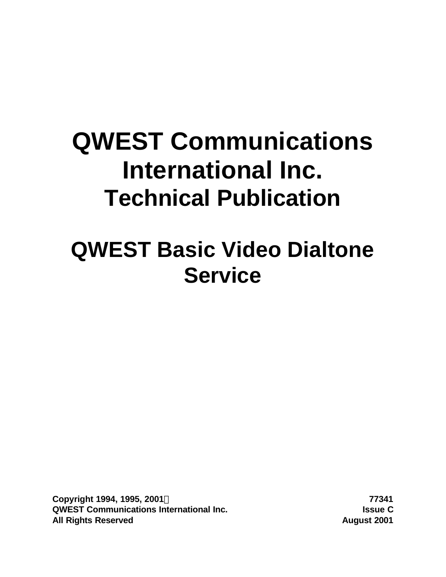# **QWEST Communications International Inc. Technical Publication**

# **QWEST Basic Video Dialtone Service**

**Copyright 1994, 1995, 2001Ó 77341 QWEST Communications International Inc. Issue C All Rights Reserved August 2001**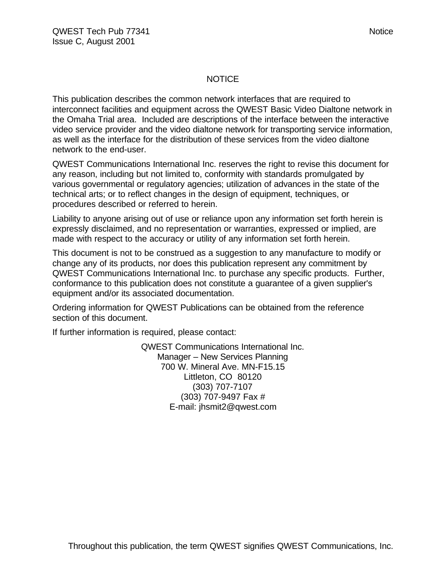## NOTICE

This publication describes the common network interfaces that are required to interconnect facilities and equipment across the QWEST Basic Video Dialtone network in the Omaha Trial area. Included are descriptions of the interface between the interactive video service provider and the video dialtone network for transporting service information, as well as the interface for the distribution of these services from the video dialtone network to the end-user.

QWEST Communications International Inc. reserves the right to revise this document for any reason, including but not limited to, conformity with standards promulgated by various governmental or regulatory agencies; utilization of advances in the state of the technical arts; or to reflect changes in the design of equipment, techniques, or procedures described or referred to herein.

Liability to anyone arising out of use or reliance upon any information set forth herein is expressly disclaimed, and no representation or warranties, expressed or implied, are made with respect to the accuracy or utility of any information set forth herein.

This document is not to be construed as a suggestion to any manufacture to modify or change any of its products, nor does this publication represent any commitment by QWEST Communications International Inc. to purchase any specific products. Further, conformance to this publication does not constitute a guarantee of a given supplier's equipment and/or its associated documentation.

Ordering information for QWEST Publications can be obtained from the reference section of this document.

If further information is required, please contact:

QWEST Communications International Inc. Manager – New Services Planning 700 W. Mineral Ave. MN-F15.15 Littleton, CO 80120 (303) 707-7107 (303) 707-9497 Fax # E-mail: jhsmit2@qwest.com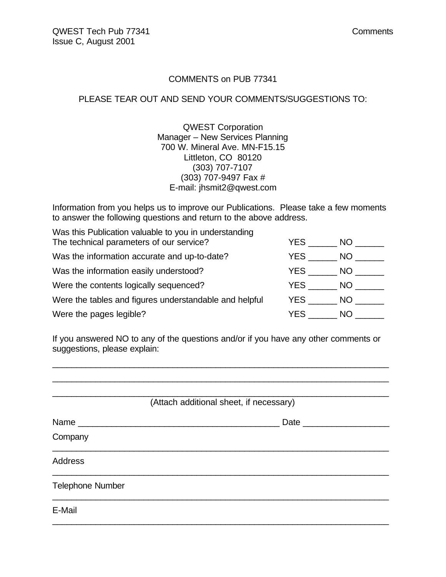## COMMENTS on PUB 77341

## PLEASE TEAR OUT AND SEND YOUR COMMENTS/SUGGESTIONS TO:

QWEST Corporation Manager – New Services Planning 700 W. Mineral Ave. MN-F15.15 Littleton, CO 80120 (303) 707-7107 (303) 707-9497 Fax # E-mail: jhsmit2@qwest.com

Information from you helps us to improve our Publications. Please take a few moments to answer the following questions and return to the above address.

If you answered NO to any of the questions and/or if you have any other comments or suggestions, please explain:

\_\_\_\_\_\_\_\_\_\_\_\_\_\_\_\_\_\_\_\_\_\_\_\_\_\_\_\_\_\_\_\_\_\_\_\_\_\_\_\_\_\_\_\_\_\_\_\_\_\_\_\_\_\_\_\_\_\_\_\_\_\_\_\_\_\_\_\_\_\_

| (Attach additional sheet, if necessary) |
|-----------------------------------------|
| Date ________________                   |
|                                         |
|                                         |
|                                         |
|                                         |
|                                         |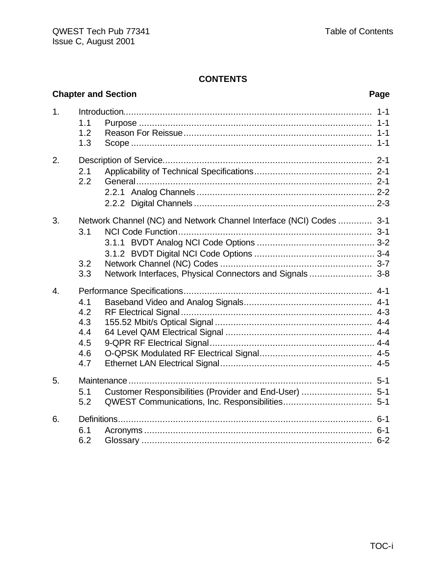## **CONTENTS**

|    |                                               | <b>Chapter and Section</b>                                          | Page               |
|----|-----------------------------------------------|---------------------------------------------------------------------|--------------------|
| 1. | 1.1<br>1.2<br>1.3                             |                                                                     | $1 - 1$<br>$1 - 1$ |
| 2. | 2.1<br>2.2                                    |                                                                     |                    |
| 3. | 3.1<br>3.2<br>3.3                             | Network Channel (NC) and Network Channel Interface (NCI) Codes  3-1 |                    |
| 4. | 4.1<br>4.2<br>4.3<br>4.4<br>4.5<br>4.6<br>4.7 |                                                                     |                    |
| 5. | 5.1<br>5.2                                    | Customer Responsibilities (Provider and End-User)  5-1              |                    |
| 6. | 6.1<br>6.2                                    |                                                                     |                    |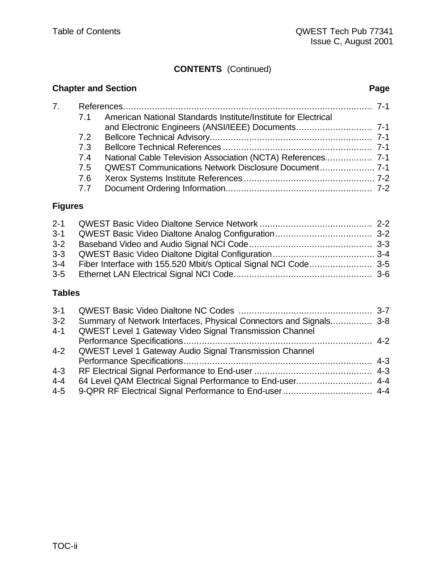# **CONTENTS** (Continued)

**Chapter and Section Page** 

| 7. | 71  | American National Standards Institute/Institute for Electrical |  |
|----|-----|----------------------------------------------------------------|--|
|    |     |                                                                |  |
|    | 7.2 |                                                                |  |
|    | 7.3 |                                                                |  |
|    | 7.4 |                                                                |  |
|    | 7.5 |                                                                |  |
|    | 7.6 |                                                                |  |
|    | 7.7 |                                                                |  |

# **Figures**

| $3 - 1$ |  |
|---------|--|
| $3-2$   |  |
|         |  |
| $3 - 4$ |  |
|         |  |

## **Tables**

| $3 - 1$ |                                                                    |  |
|---------|--------------------------------------------------------------------|--|
| $3 - 2$ | Summary of Network Interfaces, Physical Connectors and Signals 3-8 |  |
| $4 - 1$ | QWEST Level 1 Gateway Video Signal Transmission Channel            |  |
|         |                                                                    |  |
|         | 4-2 QWEST Level 1 Gateway Audio Signal Transmission Channel        |  |
|         |                                                                    |  |
| $4 - 3$ |                                                                    |  |
| $4 - 4$ |                                                                    |  |
| $4 - 5$ |                                                                    |  |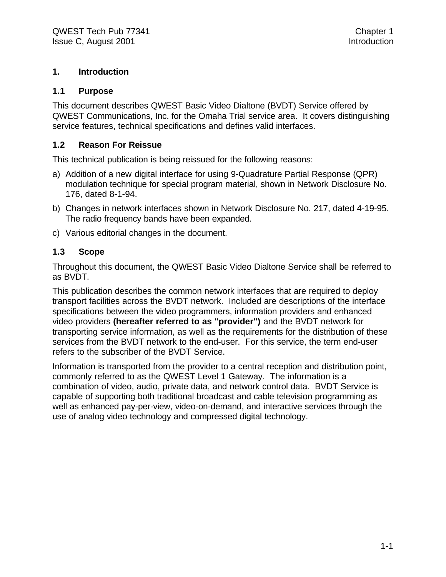## **1. Introduction**

#### **1.1 Purpose**

This document describes QWEST Basic Video Dialtone (BVDT) Service offered by QWEST Communications, Inc. for the Omaha Trial service area. It covers distinguishing service features, technical specifications and defines valid interfaces.

## **1.2 Reason For Reissue**

This technical publication is being reissued for the following reasons:

- a) Addition of a new digital interface for using 9-Quadrature Partial Response (QPR) modulation technique for special program material, shown in Network Disclosure No. 176, dated 8-1-94.
- b) Changes in network interfaces shown in Network Disclosure No. 217, dated 4-19-95. The radio frequency bands have been expanded.
- c) Various editorial changes in the document.

## **1.3 Scope**

Throughout this document, the QWEST Basic Video Dialtone Service shall be referred to as BVDT.

This publication describes the common network interfaces that are required to deploy transport facilities across the BVDT network. Included are descriptions of the interface specifications between the video programmers, information providers and enhanced video providers **(hereafter referred to as "provider")** and the BVDT network for transporting service information, as well as the requirements for the distribution of these services from the BVDT network to the end-user. For this service, the term end-user refers to the subscriber of the BVDT Service.

Information is transported from the provider to a central reception and distribution point, commonly referred to as the QWEST Level 1 Gateway. The information is a combination of video, audio, private data, and network control data. BVDT Service is capable of supporting both traditional broadcast and cable television programming as well as enhanced pay-per-view, video-on-demand, and interactive services through the use of analog video technology and compressed digital technology.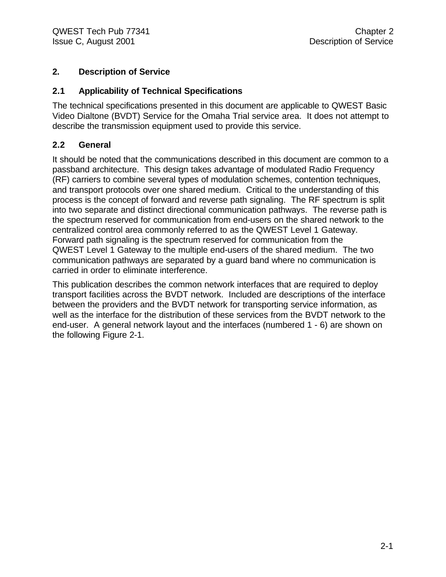## **2. Description of Service**

## **2.1 Applicability of Technical Specifications**

The technical specifications presented in this document are applicable to QWEST Basic Video Dialtone (BVDT) Service for the Omaha Trial service area. It does not attempt to describe the transmission equipment used to provide this service.

## **2.2 General**

It should be noted that the communications described in this document are common to a passband architecture. This design takes advantage of modulated Radio Frequency (RF) carriers to combine several types of modulation schemes, contention techniques, and transport protocols over one shared medium. Critical to the understanding of this process is the concept of forward and reverse path signaling. The RF spectrum is split into two separate and distinct directional communication pathways. The reverse path is the spectrum reserved for communication from end-users on the shared network to the centralized control area commonly referred to as the QWEST Level 1 Gateway. Forward path signaling is the spectrum reserved for communication from the QWEST Level 1 Gateway to the multiple end-users of the shared medium. The two communication pathways are separated by a guard band where no communication is carried in order to eliminate interference.

This publication describes the common network interfaces that are required to deploy transport facilities across the BVDT network. Included are descriptions of the interface between the providers and the BVDT network for transporting service information, as well as the interface for the distribution of these services from the BVDT network to the end-user. A general network layout and the interfaces (numbered 1 - 6) are shown on the following Figure 2-1.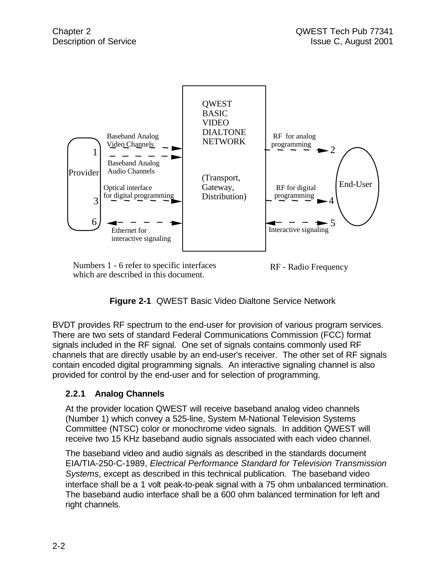

Numbers 1 - 6 refer to specific interfaces which are described in this document.

RF - Radio Frequency

**Figure 2-1** QWEST Basic Video Dialtone Service Network

BVDT provides RF spectrum to the end-user for provision of various program services. There are two sets of standard Federal Communications Commission (FCC) format signals included in the RF signal. One set of signals contains commonly used RF channels that are directly usable by an end-user's receiver. The other set of RF signals contain encoded digital programming signals. An interactive signaling channel is also provided for control by the end-user and for selection of programming.

## **2.2.1 Analog Channels**

At the provider location QWEST will receive baseband analog video channels (Number 1) which convey a 525-line, System M-National Television Systems Committee (NTSC) color or monochrome video signals. In addition QWEST will receive two 15 KHz baseband audio signals associated with each video channel.

The baseband video and audio signals as described in the standards document EIA/TIA-250-C-1989, *Electrical Performance Standard for Television Transmission Systems*, except as described in this technical publication. The baseband video interface shall be a 1 volt peak-to-peak signal with a 75 ohm unbalanced termination. The baseband audio interface shall be a 600 ohm balanced termination for left and right channels.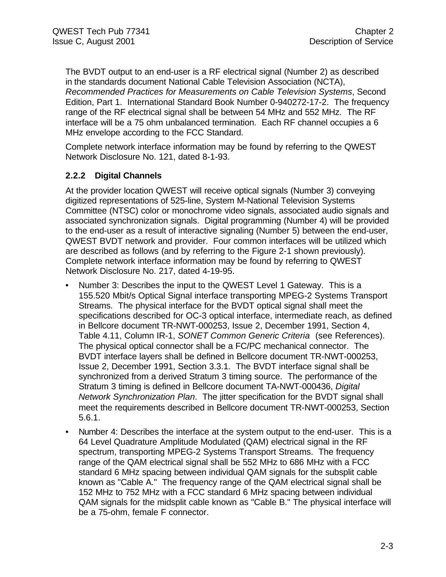The BVDT output to an end-user is a RF electrical signal (Number 2) as described in the standards document National Cable Television Association (NCTA), *Recommended Practices for Measurements on Cable Television Systems*, Second Edition, Part 1. International Standard Book Number 0-940272-17-2. The frequency range of the RF electrical signal shall be between 54 MHz and 552 MHz. The RF interface will be a 75 ohm unbalanced termination. Each RF channel occupies a 6 MHz envelope according to the FCC Standard.

Complete network interface information may be found by referring to the QWEST Network Disclosure No. 121, dated 8-1-93.

## **2.2.2 Digital Channels**

At the provider location QWEST will receive optical signals (Number 3) conveying digitized representations of 525-line, System M-National Television Systems Committee (NTSC) color or monochrome video signals, associated audio signals and associated synchronization signals. Digital programming (Number 4) will be provided to the end-user as a result of interactive signaling (Number 5) between the end-user, QWEST BVDT network and provider. Four common interfaces will be utilized which are described as follows (and by referring to the Figure 2-1 shown previously). Complete network interface information may be found by referring to QWEST Network Disclosure No. 217, dated 4-19-95.

- Number 3: Describes the input to the QWEST Level 1 Gateway. This is a 155.520 Mbit/s Optical Signal interface transporting MPEG-2 Systems Transport Streams. The physical interface for the BVDT optical signal shall meet the specifications described for OC-3 optical interface, intermediate reach, as defined in Bellcore document TR-NWT-000253, Issue 2, December 1991, Section 4, Table 4.11, Column IR-1, *SONET Common Generic Criteria* (see References). The physical optical connector shall be a FC/PC mechanical connector. The BVDT interface layers shall be defined in Bellcore document TR-NWT-000253, Issue 2, December 1991, Section 3.3.1. The BVDT interface signal shall be synchronized from a derived Stratum 3 timing source. The performance of the Stratum 3 timing is defined in Bellcore document TA-NWT-000436, *Digital Network Synchronization Plan*. The jitter specification for the BVDT signal shall meet the requirements described in Bellcore document TR-NWT-000253, Section 5.6.1.
- Number 4: Describes the interface at the system output to the end-user. This is a 64 Level Quadrature Amplitude Modulated (QAM) electrical signal in the RF spectrum, transporting MPEG-2 Systems Transport Streams. The frequency range of the QAM electrical signal shall be 552 MHz to 686 MHz with a FCC standard 6 MHz spacing between individual QAM signals for the subsplit cable known as "Cable A." The frequency range of the QAM electrical signal shall be 152 MHz to 752 MHz with a FCC standard 6 MHz spacing between individual QAM signals for the midsplit cable known as "Cable B." The physical interface will be a 75-ohm, female F connector.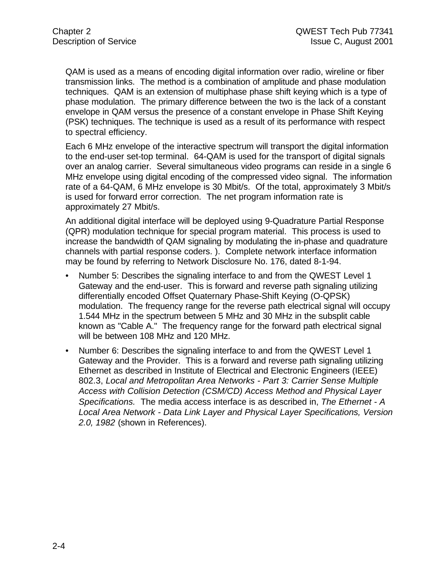QAM is used as a means of encoding digital information over radio, wireline or fiber transmission links. The method is a combination of amplitude and phase modulation techniques. QAM is an extension of multiphase phase shift keying which is a type of phase modulation. The primary difference between the two is the lack of a constant envelope in QAM versus the presence of a constant envelope in Phase Shift Keying (PSK) techniques. The technique is used as a result of its performance with respect to spectral efficiency.

Each 6 MHz envelope of the interactive spectrum will transport the digital information to the end-user set-top terminal. 64-QAM is used for the transport of digital signals over an analog carrier. Several simultaneous video programs can reside in a single 6 MHz envelope using digital encoding of the compressed video signal. The information rate of a 64-QAM, 6 MHz envelope is 30 Mbit/s. Of the total, approximately 3 Mbit/s is used for forward error correction. The net program information rate is approximately 27 Mbit/s.

An additional digital interface will be deployed using 9-Quadrature Partial Response (QPR) modulation technique for special program material. This process is used to increase the bandwidth of QAM signaling by modulating the in-phase and quadrature channels with partial response coders. ). Complete network interface information may be found by referring to Network Disclosure No. 176, dated 8-1-94.

- Number 5: Describes the signaling interface to and from the QWEST Level 1 Gateway and the end-user. This is forward and reverse path signaling utilizing differentially encoded Offset Quaternary Phase-Shift Keying (O-QPSK) modulation. The frequency range for the reverse path electrical signal will occupy 1.544 MHz in the spectrum between 5 MHz and 30 MHz in the subsplit cable known as "Cable A." The frequency range for the forward path electrical signal will be between 108 MHz and 120 MHz.
- Number 6: Describes the signaling interface to and from the QWEST Level 1 Gateway and the Provider. This is a forward and reverse path signaling utilizing Ethernet as described in Institute of Electrical and Electronic Engineers (IEEE) 802.3, *Local and Metropolitan Area Networks - Part 3: Carrier Sense Multiple Access with Collision Detection (CSM/CD) Access Method and Physical Layer Specifications.* The media access interface is as described in, *The Ethernet - A Local Area Network - Data Link Layer and Physical Layer Specifications, Version 2.0, 1982* (shown in References).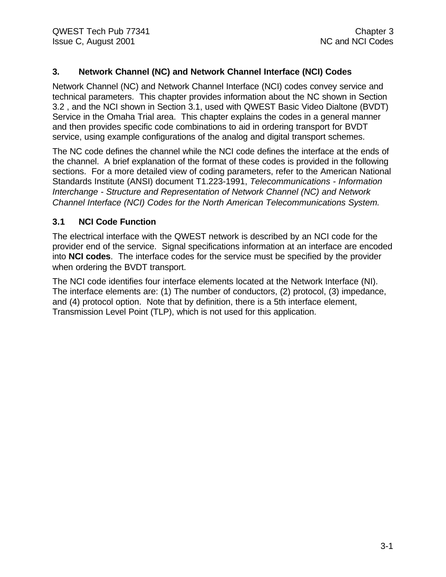## **3. Network Channel (NC) and Network Channel Interface (NCI) Codes**

Network Channel (NC) and Network Channel Interface (NCI) codes convey service and technical parameters. This chapter provides information about the NC shown in Section 3.2 , and the NCI shown in Section 3.1, used with QWEST Basic Video Dialtone (BVDT) Service in the Omaha Trial area. This chapter explains the codes in a general manner and then provides specific code combinations to aid in ordering transport for BVDT service, using example configurations of the analog and digital transport schemes.

The NC code defines the channel while the NCI code defines the interface at the ends of the channel. A brief explanation of the format of these codes is provided in the following sections. For a more detailed view of coding parameters, refer to the American National Standards Institute (ANSI) document T1.223-1991, *Telecommunications - Information Interchange - Structure and Representation of Network Channel (NC) and Network Channel Interface (NCI) Codes for the North American Telecommunications System.*

## **3.1 NCI Code Function**

The electrical interface with the QWEST network is described by an NCI code for the provider end of the service. Signal specifications information at an interface are encoded into **NCI codes**. The interface codes for the service must be specified by the provider when ordering the BVDT transport.

The NCI code identifies four interface elements located at the Network Interface (NI). The interface elements are: (1) The number of conductors, (2) protocol, (3) impedance, and (4) protocol option. Note that by definition, there is a 5th interface element, Transmission Level Point (TLP), which is not used for this application.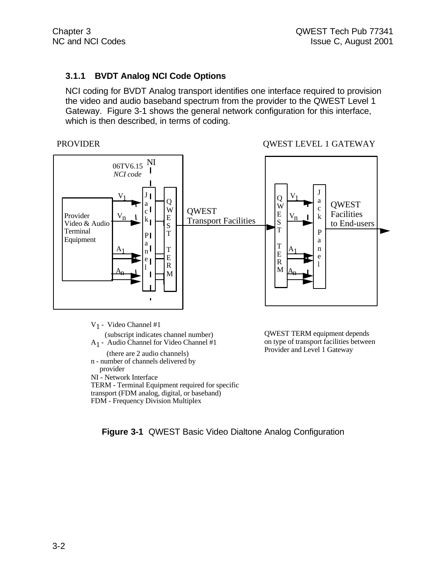## **3.1.1 BVDT Analog NCI Code Options**

NCI coding for BVDT Analog transport identifies one interface required to provision the video and audio baseband spectrum from the provider to the QWEST Level 1 Gateway. Figure 3-1 shows the general network configuration for this interface, which is then described, in terms of coding.

#### PROVIDER

QWEST LEVEL 1 GATEWAY



- V1 Video Channel #1
- (subscript indicates channel number) A1 - Audio Channel for Video Channel #1
- (there are 2 audio channels) n - number of channels delivered by

provider

- NI Network Interface
- TERM Terminal Equipment required for specific
- transport (FDM analog, digital, or baseband)

FDM - Frequency Division Multiplex

QWEST TERM equipment depends on type of transport facilities between Provider and Level 1 Gateway

**Figure 3-1** QWEST Basic Video Dialtone Analog Configuration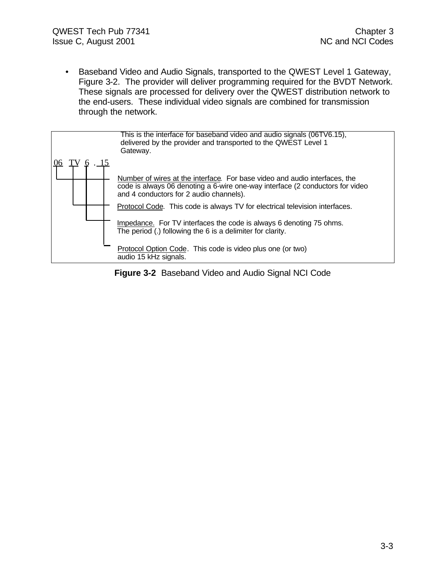• Baseband Video and Audio Signals, transported to the QWEST Level 1 Gateway, Figure 3-2. The provider will deliver programming required for the BVDT Network. These signals are processed for delivery over the QWEST distribution network to the end-users. These individual video signals are combined for transmission through the network.



**Figure 3-2** Baseband Video and Audio Signal NCI Code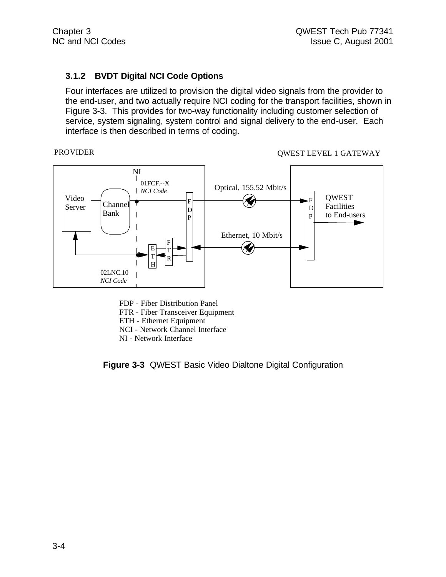## **3.1.2 BVDT Digital NCI Code Options**

Four interfaces are utilized to provision the digital video signals from the provider to the end-user, and two actually require NCI coding for the transport facilities, shown in Figure 3-3. This provides for two-way functionality including customer selection of service, system signaling, system control and signal delivery to the end-user. Each interface is then described in terms of coding.

#### PROVIDER

QWEST LEVEL 1 GATEWAY



FDP - Fiber Distribution Panel FTR - Fiber Transceiver Equipment ETH - Ethernet Equipment NCI - Network Channel Interface NI - Network Interface

**Figure 3-3** QWEST Basic Video Dialtone Digital Configuration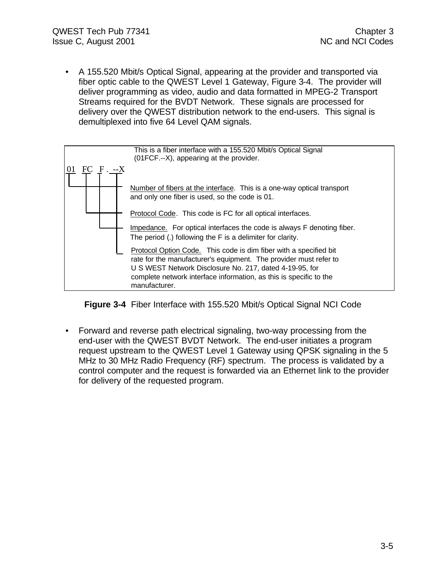• A 155.520 Mbit/s Optical Signal, appearing at the provider and transported via fiber optic cable to the QWEST Level 1 Gateway, Figure 3-4. The provider will deliver programming as video, audio and data formatted in MPEG-2 Transport Streams required for the BVDT Network. These signals are processed for delivery over the QWEST distribution network to the end-users. This signal is demultiplexed into five 64 Level QAM signals.



**Figure 3-4** Fiber Interface with 155.520 Mbit/s Optical Signal NCI Code

• Forward and reverse path electrical signaling, two-way processing from the end-user with the QWEST BVDT Network. The end-user initiates a program request upstream to the QWEST Level 1 Gateway using QPSK signaling in the 5 MHz to 30 MHz Radio Frequency (RF) spectrum. The process is validated by a control computer and the request is forwarded via an Ethernet link to the provider for delivery of the requested program.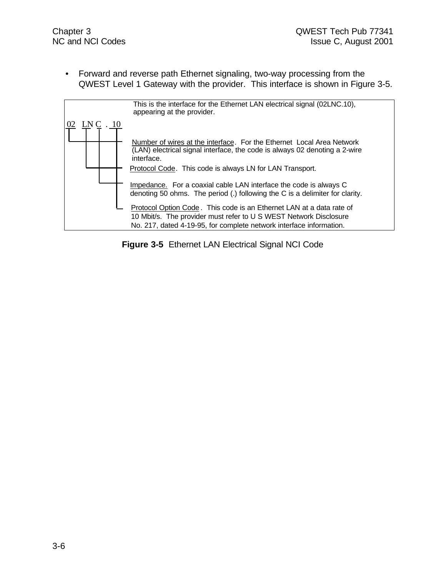• Forward and reverse path Ethernet signaling, two-way processing from the QWEST Level 1 Gateway with the provider. This interface is shown in Figure 3-5.



**Figure 3-5** Ethernet LAN Electrical Signal NCI Code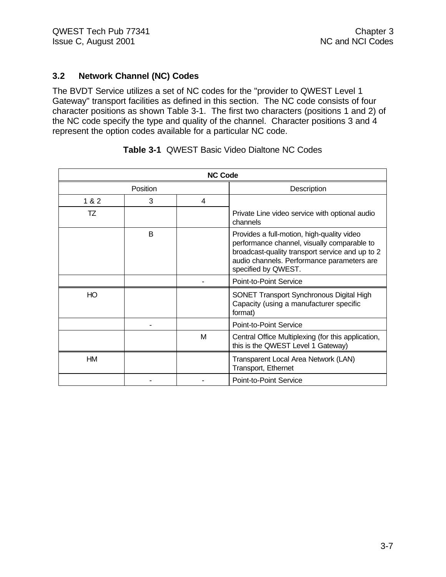## **3.2 Network Channel (NC) Codes**

The BVDT Service utilizes a set of NC codes for the "provider to QWEST Level 1 Gateway" transport facilities as defined in this section. The NC code consists of four character positions as shown Table 3-1. The first two characters (positions 1 and 2) of the NC code specify the type and quality of the channel. Character positions 3 and 4 represent the option codes available for a particular NC code.

| <b>NC Code</b> |   |   |                                                                                                                                                                                                                   |  |
|----------------|---|---|-------------------------------------------------------------------------------------------------------------------------------------------------------------------------------------------------------------------|--|
| Position       |   |   | Description                                                                                                                                                                                                       |  |
| 1 & 2          | 3 | 4 |                                                                                                                                                                                                                   |  |
| TZ             |   |   | Private Line video service with optional audio<br>channels                                                                                                                                                        |  |
|                | B |   | Provides a full-motion, high-quality video<br>performance channel, visually comparable to<br>broadcast-quality transport service and up to 2<br>audio channels. Performance parameters are<br>specified by QWEST. |  |
|                |   |   | Point-to-Point Service                                                                                                                                                                                            |  |
| HO             |   |   | <b>SONET Transport Synchronous Digital High</b><br>Capacity (using a manufacturer specific<br>format)                                                                                                             |  |
|                |   |   | Point-to-Point Service                                                                                                                                                                                            |  |
|                |   | М | Central Office Multiplexing (for this application,<br>this is the QWEST Level 1 Gateway)                                                                                                                          |  |
| НM             |   |   | Transparent Local Area Network (LAN)<br>Transport, Ethernet                                                                                                                                                       |  |
|                |   |   | Point-to-Point Service                                                                                                                                                                                            |  |

## **Table 3-1** QWEST Basic Video Dialtone NC Codes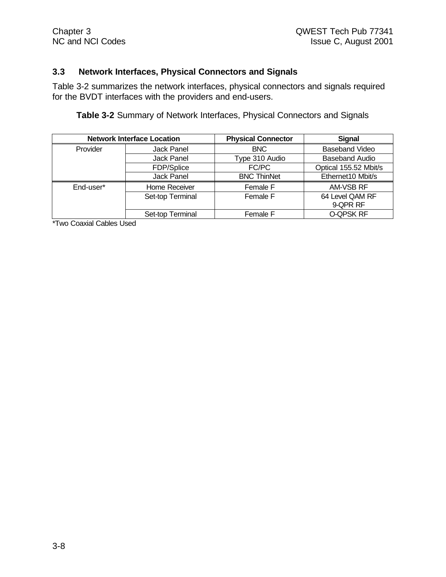## **3.3 Network Interfaces, Physical Connectors and Signals**

Table 3-2 summarizes the network interfaces, physical connectors and signals required for the BVDT interfaces with the providers and end-users.

**Table 3-2** Summary of Network Interfaces, Physical Connectors and Signals

| <b>Network Interface Location</b> |                   | <b>Physical Connector</b> | <b>Signal</b>         |
|-----------------------------------|-------------------|---------------------------|-----------------------|
| Provider<br>Jack Panel            |                   | <b>BNC</b>                | <b>Baseband Video</b> |
|                                   | <b>Jack Panel</b> | Type 310 Audio            | <b>Baseband Audio</b> |
| FDP/Splice                        |                   | FC/PC                     | Optical 155.52 Mbit/s |
|                                   | Jack Panel        | <b>BNC ThinNet</b>        | Ethernet10 Mbit/s     |
| End-user*                         | Home Receiver     | Female F                  | AM-VSB RF             |
|                                   | Set-top Terminal  | Female F                  | 64 Level QAM RF       |
|                                   |                   |                           | 9-QPR RF              |
|                                   | Set-top Terminal  | Female F                  | <b>O-QPSK RF</b>      |

\*Two Coaxial Cables Used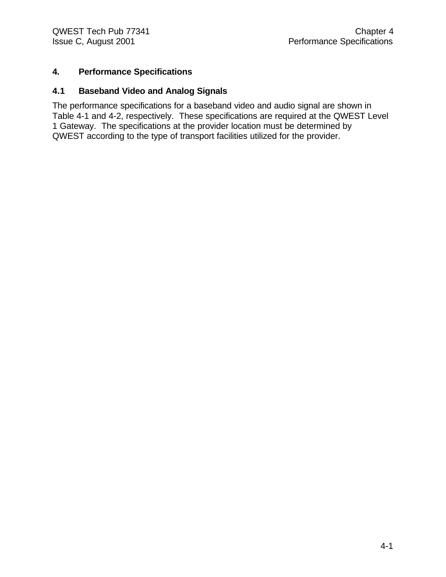## **4. Performance Specifications**

## **4.1 Baseband Video and Analog Signals**

The performance specifications for a baseband video and audio signal are shown in Table 4-1 and 4-2, respectively. These specifications are required at the QWEST Level 1 Gateway. The specifications at the provider location must be determined by QWEST according to the type of transport facilities utilized for the provider.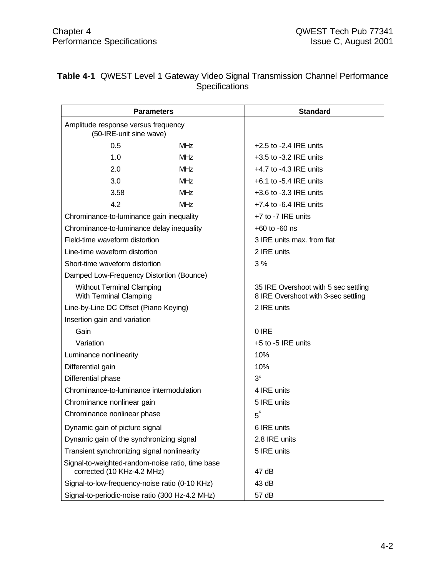| <b>Parameters</b>                                                              |            | <b>Standard</b>                                                             |  |  |
|--------------------------------------------------------------------------------|------------|-----------------------------------------------------------------------------|--|--|
| Amplitude response versus frequency<br>(50-IRE-unit sine wave)                 |            |                                                                             |  |  |
| 0.5<br><b>MHz</b>                                                              |            | $+2.5$ to $-2.4$ IRE units                                                  |  |  |
| 1.0                                                                            | <b>MHz</b> | $+3.5$ to $-3.2$ IRE units                                                  |  |  |
| 2.0                                                                            | <b>MHz</b> | $+4.7$ to $-4.3$ IRE units                                                  |  |  |
| 3.0                                                                            | <b>MHz</b> | $+6.1$ to $-5.4$ IRE units                                                  |  |  |
| 3.58                                                                           | <b>MHz</b> | $+3.6$ to $-3.3$ IRE units                                                  |  |  |
| 4.2                                                                            | <b>MHz</b> | $+7.4$ to $-6.4$ IRE units                                                  |  |  |
| Chrominance-to-luminance gain inequality                                       |            | $+7$ to $-7$ IRE units                                                      |  |  |
| Chrominance-to-luminance delay inequality                                      |            | $+60$ to $-60$ ns                                                           |  |  |
| Field-time waveform distortion                                                 |            | 3 IRE units max, from flat                                                  |  |  |
| Line-time waveform distortion                                                  |            | 2 IRE units                                                                 |  |  |
| Short-time waveform distortion                                                 |            | 3%                                                                          |  |  |
| Damped Low-Frequency Distortion (Bounce)                                       |            |                                                                             |  |  |
| <b>Without Terminal Clamping</b><br>With Terminal Clamping                     |            | 35 IRE Overshoot with 5 sec settling<br>8 IRE Overshoot with 3-sec settling |  |  |
| Line-by-Line DC Offset (Piano Keying)                                          |            | 2 IRE units                                                                 |  |  |
| Insertion gain and variation                                                   |            |                                                                             |  |  |
| Gain                                                                           |            | 0 IRE                                                                       |  |  |
| Variation                                                                      |            | +5 to -5 IRE units                                                          |  |  |
| Luminance nonlinearity                                                         |            | 10%                                                                         |  |  |
| Differential gain                                                              |            | 10%                                                                         |  |  |
| Differential phase                                                             |            | $3^\circ$                                                                   |  |  |
| Chrominance-to-luminance intermodulation                                       |            | 4 IRE units                                                                 |  |  |
| Chrominance nonlinear gain                                                     |            | 5 IRE units                                                                 |  |  |
| Chrominance nonlinear phase                                                    |            | $5^{\circ}$                                                                 |  |  |
| Dynamic gain of picture signal                                                 |            | 6 IRE units                                                                 |  |  |
| Dynamic gain of the synchronizing signal                                       |            | 2.8 IRE units                                                               |  |  |
| Transient synchronizing signal nonlinearity                                    |            | 5 IRE units                                                                 |  |  |
| Signal-to-weighted-random-noise ratio, time base<br>corrected (10 KHz-4.2 MHz) |            | 47 dB                                                                       |  |  |
| Signal-to-low-frequency-noise ratio (0-10 KHz)                                 |            | 43 dB                                                                       |  |  |
| Signal-to-periodic-noise ratio (300 Hz-4.2 MHz)                                |            | 57 dB                                                                       |  |  |

## **Table 4-1** QWEST Level 1 Gateway Video Signal Transmission Channel Performance **Specifications**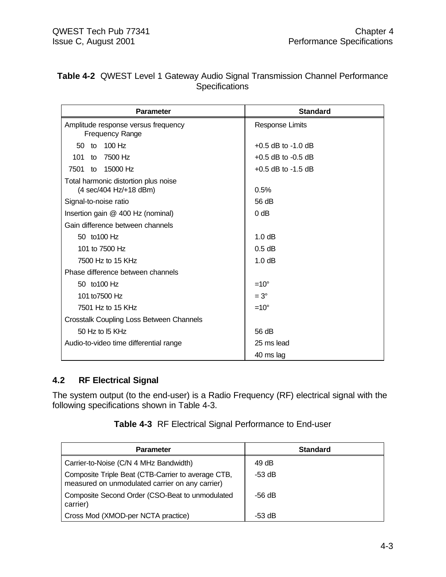| <b>Parameter</b>                                               | <b>Standard</b>        |  |
|----------------------------------------------------------------|------------------------|--|
| Amplitude response versus frequency<br><b>Frequency Range</b>  | <b>Response Limits</b> |  |
| 100 Hz<br>50<br>to                                             | $+0.5$ dB to $-1.0$ dB |  |
| 7500 Hz<br>101<br>to                                           | $+0.5$ dB to $-0.5$ dB |  |
| 15000 Hz<br>7501<br>to                                         | $+0.5$ dB to $-1.5$ dB |  |
| Total harmonic distortion plus noise<br>(4 sec/404 Hz/+18 dBm) | 0.5%                   |  |
| Signal-to-noise ratio                                          | 56 dB                  |  |
| Insertion gain @ 400 Hz (nominal)                              | 0 <sub>d</sub> B       |  |
| Gain difference between channels                               |                        |  |
| 50 to 100 Hz                                                   | 1.0 dB                 |  |
| 101 to 7500 Hz                                                 | $0.5$ dB               |  |
| 7500 Hz to 15 KHz                                              | 1.0 dB                 |  |
| Phase difference between channels                              |                        |  |
| 50 to 100 Hz                                                   | $=10^{\circ}$          |  |
| 101 to 7500 Hz                                                 | $=3^{\circ}$           |  |
| 7501 Hz to 15 KHz                                              | $=10^{\circ}$          |  |
| Crosstalk Coupling Loss Between Channels                       |                        |  |
| 50 Hz to I5 KHz                                                | 56 dB                  |  |
| Audio-to-video time differential range                         | 25 ms lead             |  |
|                                                                | 40 ms lag              |  |

|  | <b>Table 4-2</b> QWEST Level 1 Gateway Audio Signal Transmission Channel Performance |  |  |
|--|--------------------------------------------------------------------------------------|--|--|
|  | <b>Specifications</b>                                                                |  |  |

## **4.2 RF Electrical Signal**

The system output (to the end-user) is a Radio Frequency (RF) electrical signal with the following specifications shown in Table 4-3.

| <b>Parameter</b>                                                                                      | <b>Standard</b> |
|-------------------------------------------------------------------------------------------------------|-----------------|
| Carrier-to-Noise (C/N 4 MHz Bandwidth)                                                                | 49 dB           |
| Composite Triple Beat (CTB-Carrier to average CTB,<br>measured on unmodulated carrier on any carrier) | -53 dB          |
| Composite Second Order (CSO-Beat to unmodulated<br>carrier)                                           | -56 dB          |
| Cross Mod (XMOD-per NCTA practice)                                                                    | -53 dB          |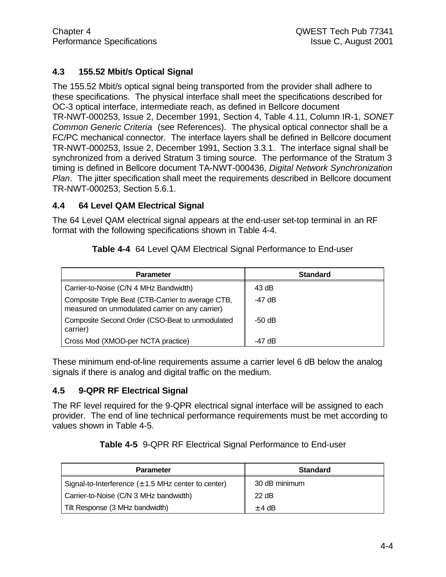## **4.3 155.52 Mbit/s Optical Signal**

The 155.52 Mbit/s optical signal being transported from the provider shall adhere to these specifications. The physical interface shall meet the specifications described for OC-3 optical interface, intermediate reach, as defined in Bellcore document TR-NWT-000253, Issue 2, December 1991, Section 4, Table 4.11, Column IR-1, *SONET Common Generic Criteria* (see References). The physical optical connector shall be a FC/PC mechanical connector. The interface layers shall be defined in Bellcore document TR-NWT-000253, Issue 2, December 1991, Section 3.3.1. The interface signal shall be synchronized from a derived Stratum 3 timing source. The performance of the Stratum 3 timing is defined in Bellcore document TA-NWT-000436, *Digital Network Synchronization Plan*. The jitter specification shall meet the requirements described in Bellcore document TR-NWT-000253, Section 5.6.1.

## **4.4 64 Level QAM Electrical Signal**

The 64 Level QAM electrical signal appears at the end-user set-top terminal in an RF format with the following specifications shown in Table 4-4.

| Table 4-4 64 Level QAM Electrical Signal Performance to End-user |  |
|------------------------------------------------------------------|--|
|------------------------------------------------------------------|--|

| <b>Parameter</b>                                                                                      | <b>Standard</b> |
|-------------------------------------------------------------------------------------------------------|-----------------|
| Carrier-to-Noise (C/N 4 MHz Bandwidth)                                                                | 43 dB           |
| Composite Triple Beat (CTB-Carrier to average CTB,<br>measured on unmodulated carrier on any carrier) | $-47$ dB        |
| Composite Second Order (CSO-Beat to unmodulated<br>carrier)                                           | $-50$ dB        |
| Cross Mod (XMOD-per NCTA practice)                                                                    | -47 dB          |

These minimum end-of-line requirements assume a carrier level 6 dB below the analog signals if there is analog and digital traffic on the medium.

## **4.5 9-QPR RF Electrical Signal**

The RF level required for the 9-QPR electrical signal interface will be assigned to each provider. The end of line technical performance requirements must be met according to values shown in Table 4-5.

| Table 4-5 9-QPR RF Electrical Signal Performance to End-user |  |
|--------------------------------------------------------------|--|
|--------------------------------------------------------------|--|

| <b>Parameter</b>                                                | <b>Standard</b> |
|-----------------------------------------------------------------|-----------------|
| Signal-to-Interference $(\pm 1.5 \text{ MHz})$ center to center | 30 dB minimum   |
| Carrier-to-Noise (C/N 3 MHz bandwidth)                          | 22 dB           |
| Tilt Response (3 MHz bandwidth)                                 | $\pm$ 4 dB      |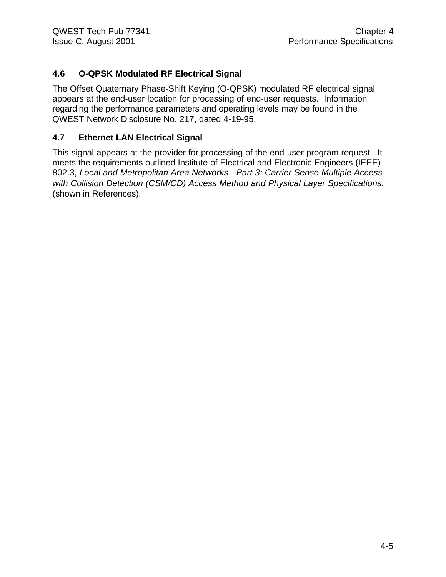## **4.6 O-QPSK Modulated RF Electrical Signal**

The Offset Quaternary Phase-Shift Keying (O-QPSK) modulated RF electrical signal appears at the end-user location for processing of end-user requests. Information regarding the performance parameters and operating levels may be found in the QWEST Network Disclosure No. 217, dated 4-19-95.

## **4.7 Ethernet LAN Electrical Signal**

This signal appears at the provider for processing of the end-user program request. It meets the requirements outlined Institute of Electrical and Electronic Engineers (IEEE) 802.3, *Local and Metropolitan Area Networks - Part 3: Carrier Sense Multiple Access with Collision Detection (CSM/CD) Access Method and Physical Layer Specifications.* (shown in References).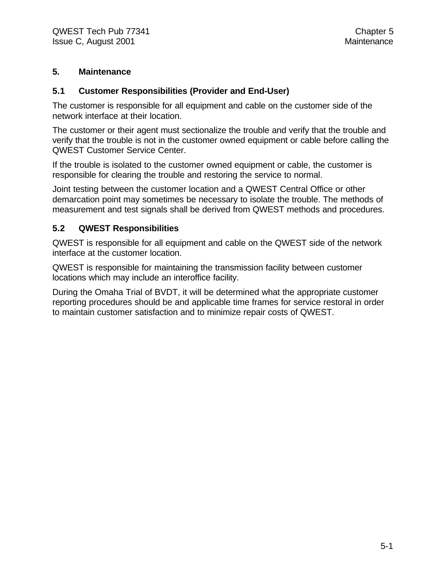## **5. Maintenance**

## **5.1 Customer Responsibilities (Provider and End-User)**

The customer is responsible for all equipment and cable on the customer side of the network interface at their location.

The customer or their agent must sectionalize the trouble and verify that the trouble and verify that the trouble is not in the customer owned equipment or cable before calling the QWEST Customer Service Center.

If the trouble is isolated to the customer owned equipment or cable, the customer is responsible for clearing the trouble and restoring the service to normal.

Joint testing between the customer location and a QWEST Central Office or other demarcation point may sometimes be necessary to isolate the trouble. The methods of measurement and test signals shall be derived from QWEST methods and procedures.

## **5.2 QWEST Responsibilities**

QWEST is responsible for all equipment and cable on the QWEST side of the network interface at the customer location.

QWEST is responsible for maintaining the transmission facility between customer locations which may include an interoffice facility.

During the Omaha Trial of BVDT, it will be determined what the appropriate customer reporting procedures should be and applicable time frames for service restoral in order to maintain customer satisfaction and to minimize repair costs of QWEST.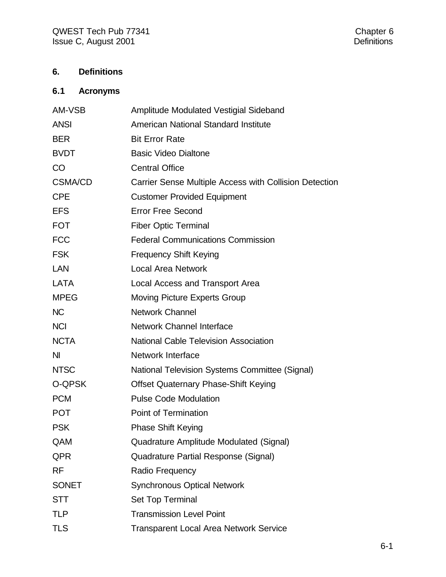# **6. Definitions**

# **6.1 Acronyms**

| AM-VSB         | Amplitude Modulated Vestigial Sideband                 |
|----------------|--------------------------------------------------------|
| <b>ANSI</b>    | <b>American National Standard Institute</b>            |
| <b>BER</b>     | <b>Bit Error Rate</b>                                  |
| <b>BVDT</b>    | <b>Basic Video Dialtone</b>                            |
| CO             | <b>Central Office</b>                                  |
| <b>CSMA/CD</b> | Carrier Sense Multiple Access with Collision Detection |
| <b>CPE</b>     | <b>Customer Provided Equipment</b>                     |
| <b>EFS</b>     | <b>Error Free Second</b>                               |
| <b>FOT</b>     | <b>Fiber Optic Terminal</b>                            |
| <b>FCC</b>     | <b>Federal Communications Commission</b>               |
| <b>FSK</b>     | <b>Frequency Shift Keying</b>                          |
| LAN            | <b>Local Area Network</b>                              |
| <b>LATA</b>    | Local Access and Transport Area                        |
| <b>MPEG</b>    | <b>Moving Picture Experts Group</b>                    |
| <b>NC</b>      | <b>Network Channel</b>                                 |
| <b>NCI</b>     | <b>Network Channel Interface</b>                       |
| <b>NCTA</b>    | <b>National Cable Television Association</b>           |
| <b>NI</b>      | <b>Network Interface</b>                               |
| <b>NTSC</b>    | National Television Systems Committee (Signal)         |
| O-QPSK         | <b>Offset Quaternary Phase-Shift Keying</b>            |
| <b>PCM</b>     | <b>Pulse Code Modulation</b>                           |
| <b>POT</b>     | <b>Point of Termination</b>                            |
| <b>PSK</b>     | <b>Phase Shift Keying</b>                              |
| QAM            | Quadrature Amplitude Modulated (Signal)                |
| QPR            | <b>Quadrature Partial Response (Signal)</b>            |
| <b>RF</b>      | <b>Radio Frequency</b>                                 |
| <b>SONET</b>   | <b>Synchronous Optical Network</b>                     |
| <b>STT</b>     | <b>Set Top Terminal</b>                                |
| <b>TLP</b>     | <b>Transmission Level Point</b>                        |
| <b>TLS</b>     | <b>Transparent Local Area Network Service</b>          |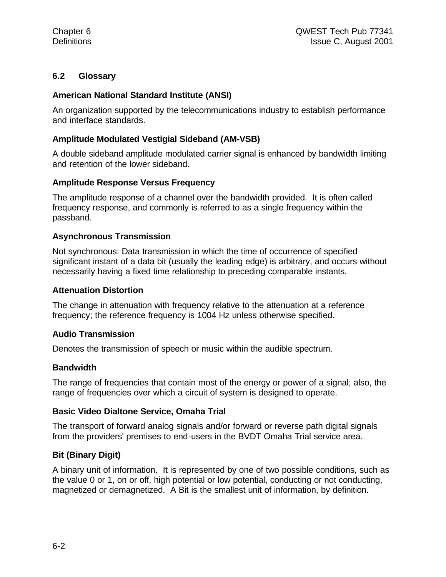## **6.2 Glossary**

## **American National Standard Institute (ANSI)**

An organization supported by the telecommunications industry to establish performance and interface standards.

## **Amplitude Modulated Vestigial Sideband (AM-VSB)**

A double sideband amplitude modulated carrier signal is enhanced by bandwidth limiting and retention of the lower sideband.

## **Amplitude Response Versus Frequency**

The amplitude response of a channel over the bandwidth provided. It is often called frequency response, and commonly is referred to as a single frequency within the passband.

## **Asynchronous Transmission**

Not synchronous: Data transmission in which the time of occurrence of specified significant instant of a data bit (usually the leading edge) is arbitrary, and occurs without necessarily having a fixed time relationship to preceding comparable instants.

#### **Attenuation Distortion**

The change in attenuation with frequency relative to the attenuation at a reference frequency; the reference frequency is 1004 Hz unless otherwise specified.

## **Audio Transmission**

Denotes the transmission of speech or music within the audible spectrum.

## **Bandwidth**

The range of frequencies that contain most of the energy or power of a signal; also, the range of frequencies over which a circuit of system is designed to operate.

## **Basic Video Dialtone Service, Omaha Trial**

The transport of forward analog signals and/or forward or reverse path digital signals from the providers' premises to end-users in the BVDT Omaha Trial service area.

## **Bit (Binary Digit)**

A binary unit of information. It is represented by one of two possible conditions, such as the value 0 or 1, on or off, high potential or low potential, conducting or not conducting, magnetized or demagnetized. A Bit is the smallest unit of information, by definition.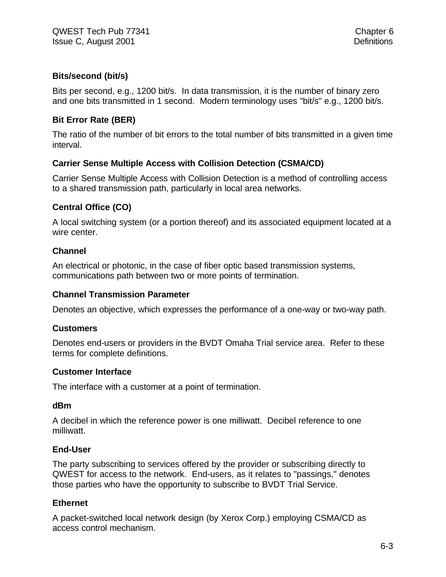## **Bits/second (bit/s)**

Bits per second, e.g., 1200 bit/s. In data transmission, it is the number of binary zero and one bits transmitted in 1 second. Modern terminology uses "bit/s" e.g., 1200 bit/s.

## **Bit Error Rate (BER)**

The ratio of the number of bit errors to the total number of bits transmitted in a given time interval.

## **Carrier Sense Multiple Access with Collision Detection (CSMA/CD)**

Carrier Sense Multiple Access with Collision Detection is a method of controlling access to a shared transmission path, particularly in local area networks.

## **Central Office (CO)**

A local switching system (or a portion thereof) and its associated equipment located at a wire center.

#### **Channel**

An electrical or photonic, in the case of fiber optic based transmission systems, communications path between two or more points of termination.

#### **Channel Transmission Parameter**

Denotes an objective, which expresses the performance of a one-way or two-way path.

## **Customers**

Denotes end-users or providers in the BVDT Omaha Trial service area. Refer to these terms for complete definitions.

#### **Customer Interface**

The interface with a customer at a point of termination.

#### **dBm**

A decibel in which the reference power is one milliwatt. Decibel reference to one milliwatt.

## **End-User**

The party subscribing to services offered by the provider or subscribing directly to QWEST for access to the network. End-users, as it relates to "passings," denotes those parties who have the opportunity to subscribe to BVDT Trial Service.

## **Ethernet**

A packet-switched local network design (by Xerox Corp.) employing CSMA/CD as access control mechanism.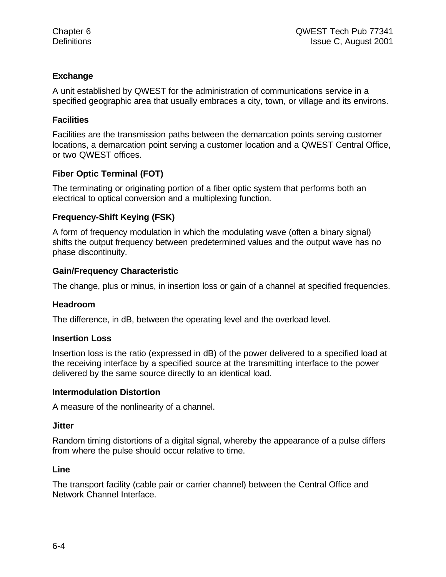## **Exchange**

A unit established by QWEST for the administration of communications service in a specified geographic area that usually embraces a city, town, or village and its environs.

## **Facilities**

Facilities are the transmission paths between the demarcation points serving customer locations, a demarcation point serving a customer location and a QWEST Central Office, or two QWEST offices.

## **Fiber Optic Terminal (FOT)**

The terminating or originating portion of a fiber optic system that performs both an electrical to optical conversion and a multiplexing function.

## **Frequency-Shift Keying (FSK)**

A form of frequency modulation in which the modulating wave (often a binary signal) shifts the output frequency between predetermined values and the output wave has no phase discontinuity.

## **Gain/Frequency Characteristic**

The change, plus or minus, in insertion loss or gain of a channel at specified frequencies.

## **Headroom**

The difference, in dB, between the operating level and the overload level.

## **Insertion Loss**

Insertion loss is the ratio (expressed in dB) of the power delivered to a specified load at the receiving interface by a specified source at the transmitting interface to the power delivered by the same source directly to an identical load.

## **Intermodulation Distortion**

A measure of the nonlinearity of a channel.

## **Jitter**

Random timing distortions of a digital signal, whereby the appearance of a pulse differs from where the pulse should occur relative to time.

## **Line**

The transport facility (cable pair or carrier channel) between the Central Office and Network Channel Interface.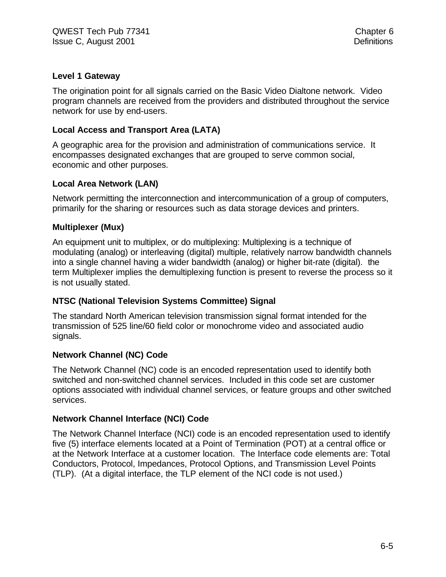## **Level 1 Gateway**

The origination point for all signals carried on the Basic Video Dialtone network. Video program channels are received from the providers and distributed throughout the service network for use by end-users.

## **Local Access and Transport Area (LATA)**

A geographic area for the provision and administration of communications service. It encompasses designated exchanges that are grouped to serve common social, economic and other purposes.

## **Local Area Network (LAN)**

Network permitting the interconnection and intercommunication of a group of computers, primarily for the sharing or resources such as data storage devices and printers.

## **Multiplexer (Mux)**

An equipment unit to multiplex, or do multiplexing: Multiplexing is a technique of modulating (analog) or interleaving (digital) multiple, relatively narrow bandwidth channels into a single channel having a wider bandwidth (analog) or higher bit-rate (digital). the term Multiplexer implies the demultiplexing function is present to reverse the process so it is not usually stated.

## **NTSC (National Television Systems Committee) Signal**

The standard North American television transmission signal format intended for the transmission of 525 line/60 field color or monochrome video and associated audio signals.

## **Network Channel (NC) Code**

The Network Channel (NC) code is an encoded representation used to identify both switched and non-switched channel services. Included in this code set are customer options associated with individual channel services, or feature groups and other switched services.

## **Network Channel Interface (NCI) Code**

The Network Channel Interface (NCI) code is an encoded representation used to identify five (5) interface elements located at a Point of Termination (POT) at a central office or at the Network Interface at a customer location. The Interface code elements are: Total Conductors, Protocol, Impedances, Protocol Options, and Transmission Level Points (TLP). (At a digital interface, the TLP element of the NCI code is not used.)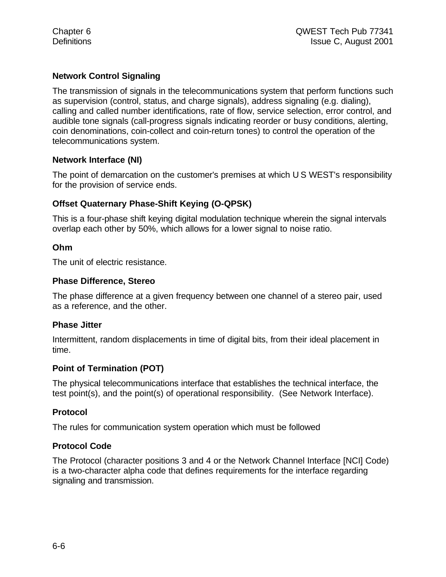## **Network Control Signaling**

The transmission of signals in the telecommunications system that perform functions such as supervision (control, status, and charge signals), address signaling (e.g. dialing), calling and called number identifications, rate of flow, service selection, error control, and audible tone signals (call-progress signals indicating reorder or busy conditions, alerting, coin denominations, coin-collect and coin-return tones) to control the operation of the telecommunications system.

## **Network Interface (NI)**

The point of demarcation on the customer's premises at which U S WEST's responsibility for the provision of service ends.

## **Offset Quaternary Phase-Shift Keying (O-QPSK)**

This is a four-phase shift keying digital modulation technique wherein the signal intervals overlap each other by 50%, which allows for a lower signal to noise ratio.

## **Ohm**

The unit of electric resistance.

## **Phase Difference, Stereo**

The phase difference at a given frequency between one channel of a stereo pair, used as a reference, and the other.

## **Phase Jitter**

Intermittent, random displacements in time of digital bits, from their ideal placement in time.

## **Point of Termination (POT)**

The physical telecommunications interface that establishes the technical interface, the test point(s), and the point(s) of operational responsibility. (See Network Interface).

## **Protocol**

The rules for communication system operation which must be followed

## **Protocol Code**

The Protocol (character positions 3 and 4 or the Network Channel Interface [NCI] Code) is a two-character alpha code that defines requirements for the interface regarding signaling and transmission.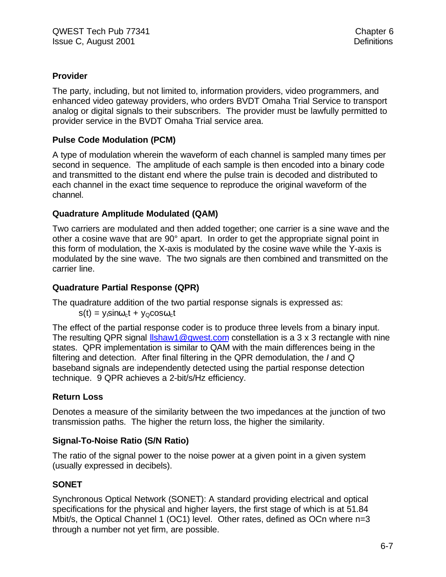## **Provider**

The party, including, but not limited to, information providers, video programmers, and enhanced video gateway providers, who orders BVDT Omaha Trial Service to transport analog or digital signals to their subscribers. The provider must be lawfully permitted to provider service in the BVDT Omaha Trial service area.

## **Pulse Code Modulation (PCM)**

A type of modulation wherein the waveform of each channel is sampled many times per second in sequence. The amplitude of each sample is then encoded into a binary code and transmitted to the distant end where the pulse train is decoded and distributed to each channel in the exact time sequence to reproduce the original waveform of the channel.

## **Quadrature Amplitude Modulated (QAM)**

Two carriers are modulated and then added together; one carrier is a sine wave and the other a cosine wave that are 90° apart. In order to get the appropriate signal point in this form of modulation, the X-axis is modulated by the cosine wave while the Y-axis is modulated by the sine wave. The two signals are then combined and transmitted on the carrier line.

## **Quadrature Partial Response (QPR)**

The quadrature addition of the two partial response signals is expressed as:

 $s(t) = v_1 \sin{\omega_c t} + v_0 \cos{\omega_c t}$ 

The effect of the partial response coder is to produce three levels from a binary input. The resulting QPR signal lishaw1@qwest.com constellation is a 3 x 3 rectangle with nine states. QPR implementation is similar to QAM with the main differences being in the filtering and detection. After final filtering in the QPR demodulation, the *I* and *Q* baseband signals are independently detected using the partial response detection technique. 9 QPR achieves a 2-bit/s/Hz efficiency.

## **Return Loss**

Denotes a measure of the similarity between the two impedances at the junction of two transmission paths. The higher the return loss, the higher the similarity.

## **Signal-To-Noise Ratio (S/N Ratio)**

The ratio of the signal power to the noise power at a given point in a given system (usually expressed in decibels).

## **SONET**

Synchronous Optical Network (SONET): A standard providing electrical and optical specifications for the physical and higher layers, the first stage of which is at 51.84 Mbit/s, the Optical Channel 1 (OC1) level. Other rates, defined as OCn where n=3 through a number not yet firm, are possible.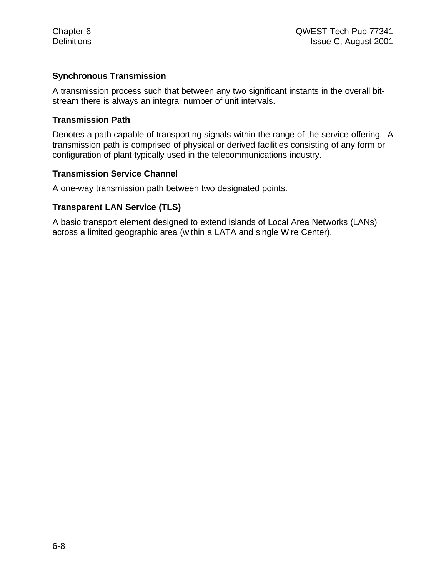## **Synchronous Transmission**

A transmission process such that between any two significant instants in the overall bitstream there is always an integral number of unit intervals.

## **Transmission Path**

Denotes a path capable of transporting signals within the range of the service offering. A transmission path is comprised of physical or derived facilities consisting of any form or configuration of plant typically used in the telecommunications industry.

## **Transmission Service Channel**

A one-way transmission path between two designated points.

## **Transparent LAN Service (TLS)**

A basic transport element designed to extend islands of Local Area Networks (LANs) across a limited geographic area (within a LATA and single Wire Center).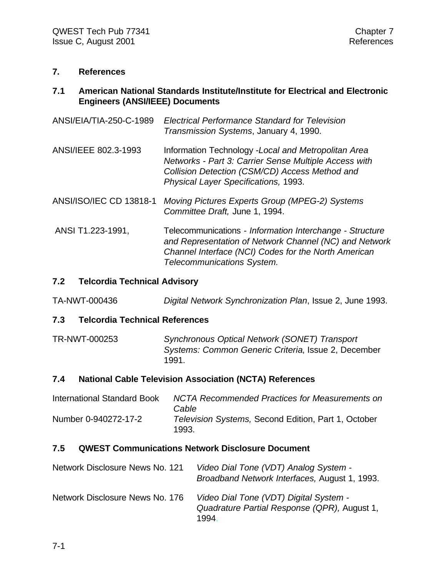## **7. References**

## **7.1 American National Standards Institute/Institute for Electrical and Electronic Engineers (ANSI/IEEE) Documents**

- ANSI/EIA/TIA-250-C-1989 *Electrical Performance Standard for Television Transmission Systems*, January 4, 1990.
- ANSI/IEEE 802.3-1993 Information Technology -*Local and Metropolitan Area Networks - Part 3: Carrier Sense Multiple Access with Collision Detection (CSM/CD) Access Method and Physical Layer Specifications,* 1993.
- ANSI/ISO/IEC CD 13818-1 *Moving Pictures Experts Group (MPEG-2) Systems Committee Draft,* June 1, 1994.
- ANSI T1.223-1991, Telecommunications - *Information Interchange Structure and Representation of Network Channel (NC) and Network Channel Interface (NCI) Codes for the North American Telecommunications System.*

## **7.2 Telcordia Technical Advisory**

TA-NWT-000436 *Digital Network Synchronization Plan*, Issue 2, June 1993.

## **7.3 Telcordia Technical References**

TR-NWT-000253 *Synchronous Optical Network (SONET) Transport Systems: Common Generic Criteria*, Issue 2, December 1991.

## **7.4 National Cable Television Association (NCTA) References**

| <b>International Standard Book</b> | NCTA Recommended Practices for Measurements on<br>Cable      |
|------------------------------------|--------------------------------------------------------------|
| Number 0-940272-17-2               | Television Systems, Second Edition, Part 1, October<br>1993. |

## **7.5 QWEST Communications Network Disclosure Document**

| Network Disclosure News No. 121 | Video Dial Tone (VDT) Analog System -<br>Broadband Network Interfaces, August 1, 1993.         |
|---------------------------------|------------------------------------------------------------------------------------------------|
| Network Disclosure News No. 176 | Video Dial Tone (VDT) Digital System -<br>Quadrature Partial Response (QPR), August 1,<br>1994 |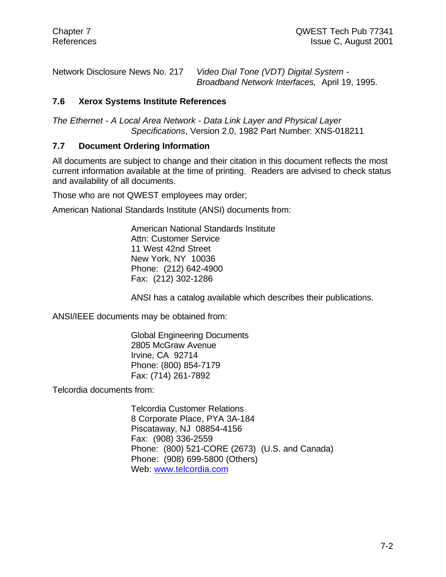Network Disclosure News No. 217 *Video Dial Tone (VDT) Digital System -*

*Broadband Network Interfaces,* April 19, 1995.

## **7.6 Xerox Systems Institute References**

*The Ethernet - A Local Area Network - Data Link Layer and Physical Layer Specifications*, Version 2.0, 1982 Part Number: XNS-018211

## **7.7 Document Ordering Information**

All documents are subject to change and their citation in this document reflects the most current information available at the time of printing. Readers are advised to check status and availability of all documents.

Those who are not QWEST employees may order;

American National Standards Institute (ANSI) documents from:

American National Standards Institute Attn: Customer Service 11 West 42nd Street New York, NY 10036 Phone: (212) 642-4900 Fax: (212) 302-1286

ANSI has a catalog available which describes their publications.

ANSI/IEEE documents may be obtained from:

Global Engineering Documents 2805 McGraw Avenue Irvine, CA 92714 Phone: (800) 854-7179 Fax: (714) 261-7892

Telcordia documents from:

Telcordia Customer Relations 8 Corporate Place, PYA 3A-184 Piscataway, NJ 08854-4156 Fax: (908) 336-2559 Phone: (800) 521-CORE (2673) (U.S. and Canada) Phone: (908) 699-5800 (Others) Web: www.telcordia.com